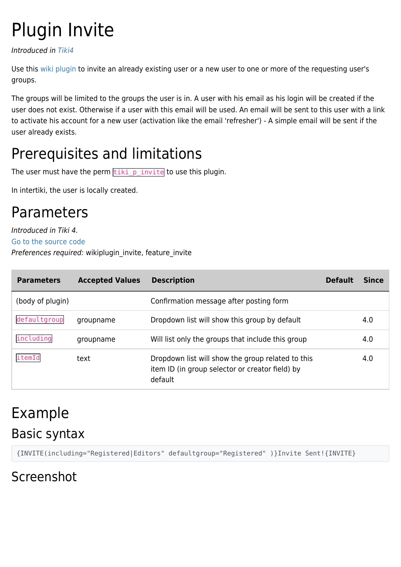# Plugin Invite

Introduced in [Tiki4](https://doc.tiki.org/Tiki4)

Use this [wiki plugin](https://doc.tiki.org/wiki%20plugin) to invite an already existing user or a new user to one or more of the requesting user's groups.

The groups will be limited to the groups the user is in. A user with his email as his login will be created if the user does not exist. Otherwise if a user with this email will be used. An email will be sent to this user with a link to activate his account for a new user (activation like the email 'refresher') - A simple email will be sent if the user already exists.

## Prerequisites and limitations

The user must have the perm  $\frac{t}{\text{tiki}}$  p\_invite to use this plugin.

In intertiki, the user is locally created.

#### Parameters

Introduced in Tiki 4.

#### [Go to the source code](https://gitlab.com/tikiwiki/tiki/-/blob/master/lib/wiki-plugins/wikiplugin_invite.php)

Preferences required: wikiplugin\_invite, feature\_invite

| <b>Parameters</b> | <b>Accepted Values</b> | <b>Description</b>                                                                                              | <b>Default</b> | Since |
|-------------------|------------------------|-----------------------------------------------------------------------------------------------------------------|----------------|-------|
| (body of plugin)  |                        | Confirmation message after posting form                                                                         |                |       |
| defaultgroup      | groupname              | Dropdown list will show this group by default                                                                   |                | 4.0   |
| including         | groupname              | Will list only the groups that include this group                                                               |                | 4.0   |
| itemId            | text                   | Dropdown list will show the group related to this<br>item ID (in group selector or creator field) by<br>default |                | 4.0   |

#### Example Basic syntax

{INVITE(including="Registered|Editors" defaultgroup="Registered" )}Invite Sent!{INVITE}

#### Screenshot